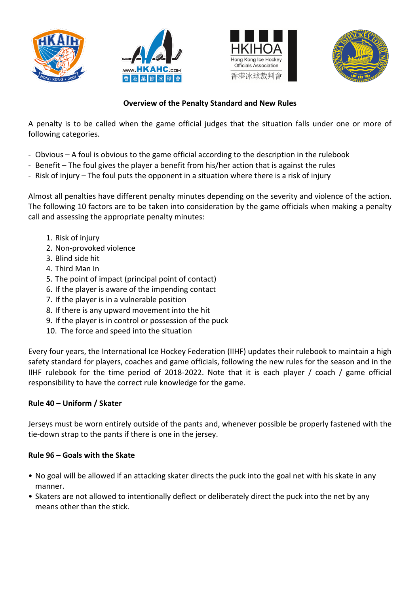







# **Overview of the Penalty Standard and New Rules**

A penalty is to be called when the game official judges that the situation falls under one or more of following categories.

- Obvious A foul is obvious to the game official according to the description in the rulebook
- Benefit The foul gives the player a benefit from his/her action that is against the rules
- Risk of injury The foul puts the opponent in a situation where there is a risk of injury

Almost all penalties have different penalty minutes depending on the severity and violence of the action. The following 10 factors are to be taken into consideration by the game officials when making a penalty call and assessing the appropriate penalty minutes:

- 1. Risk of injury
- 2. Non-provoked violence
- 3. Blind side hit
- 4. Third Man In
- 5. The point of impact (principal point of contact)
- 6. If the player is aware of the impending contact
- 7. If the player is in a vulnerable position
- 8. If there is any upward movement into the hit
- 9. If the player is in control or possession of the puck
- 10. The force and speed into the situation

Every four years, the International Ice Hockey Federation (IIHF) updates their rulebook to maintain a high safety standard for players, coaches and game officials, following the new rules for the season and in the IIHF rulebook for the time period of 2018-2022. Note that it is each player / coach / game official responsibility to have the correct rule knowledge for the game.

## **Rule 40 – Uniform / Skater**

Jerseys must be worn entirely outside of the pants and, whenever possible be properly fastened with the tie-down strap to the pants if there is one in the jersey.

#### **Rule 96 – Goals with the Skate**

- No goal will be allowed if an attacking skater directs the puck into the goal net with his skate in any manner.
- Skaters are not allowed to intentionally deflect or deliberately direct the puck into the net by any means other than the stick.